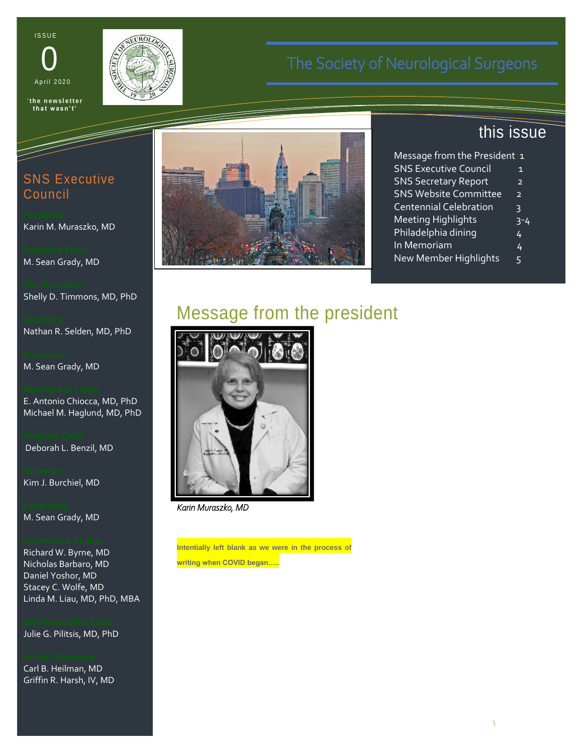**ISSUE** 





'**t h e n e w s l e t t e r t h a t w a s n ' t '**

# SNS Executive Council

Karin M. Muraszko, MD

M. Sean Grady, MD

Shelly D. Timmons, MD, PhD

Nathan R. Selden, MD, PhD

M. Sean Grady, MD

E. Antonio Chiocca, MD, PhD Michael M. Haglund, MD, PhD

Deborah L. Benzil, MD

Kim J. Burchiel, MD

M. Sean Grady, MD

Richard W. Byrne, MD Nicholas Barbaro, MD Daniel Yoshor, MD Stacey C. Wolfe, MD Linda M. Liau, MD, PhD, MBA

Julie G. Pilitsis, MD, PhD

Carl B. Heilman, MD Griffin R. Harsh, IV, MD



# this issue

| Message from the President 1  |                |
|-------------------------------|----------------|
| <b>SNS Executive Council</b>  | 1              |
| <b>SNS Secretary Report</b>   | $\overline{2}$ |
| <b>SNS Website Committee</b>  | $\overline{2}$ |
| <b>Centennial Celebration</b> | 3              |
| <b>Meeting Highlights</b>     | 3-4            |
| Philadelphia dining           | 4              |
| In Memoriam                   | 4              |
| New Member Highlights         | 5              |
|                               |                |

# Message from the president



*Karin Muraszko, MD* 

**Intentially left blank as we were in the process of writing when COVID began…..**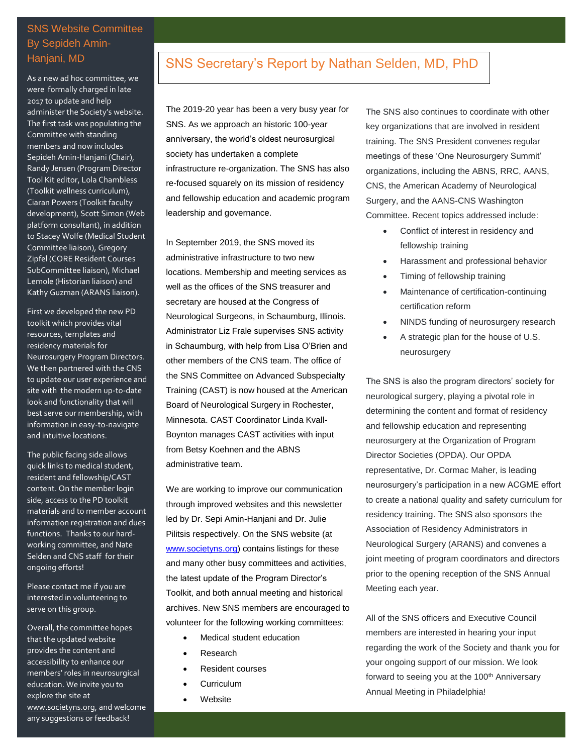## SNS Website Committee By Sepideh Amin-Hanjani, MD

As a new ad hoc committee, we were formally charged in late 2017 to update and help administer the Society's website. The first task was populating the Committee with standing members and now includes Sepideh Amin-Hanjani (Chair), Randy Jensen (Program Director Tool Kit editor, Lola Chambless (Toolkit wellness curriculum), Ciaran Powers (Toolkit faculty development), Scott Simon (Web platform consultant), in addition to Stacey Wolfe (Medical Student Committee liaison), Gregory Zipfel (CORE Resident Courses SubCommittee liaison), Michael Lemole (Historian liaison) and Kathy Guzman (ARANS liaison).

First we developed the new PD toolkit which provides vital resources, templates and residency materials for Neurosurgery Program Directors. We then partnered with the CNS to update our user experience and site with the modern up-to-date look and functionality that will best serve our membership, with information in easy-to-navigate and intuitive locations.

The public facing side allows quick links to medical student, resident and fellowship/CAST content. On the member login side, access to the PD toolkit materials and to member account information registration and dues functions. Thanks to our hardworking committee, and Nate Selden and CNS staff for their ongoing efforts!

Please contact me if you are interested in volunteering to serve on this group.

Overall, the committee hopes that the updated website provides the content and accessibility to enhance our members' roles in neurosurgical education. We invite you to explore the site at [www.societyns.org,](http://www.societyns.org/) and welcome any suggestions or feedback!

## SNS Secretary's Report by Nathan Selden, MD, PhD

The 2019-20 year has been a very busy year for SNS. As we approach an historic 100-year anniversary, the world's oldest neurosurgical society has undertaken a complete infrastructure re-organization. The SNS has also re-focused squarely on its mission of residency and fellowship education and academic program leadership and governance.

In September 2019, the SNS moved its administrative infrastructure to two new locations. Membership and meeting services as well as the offices of the SNS treasurer and secretary are housed at the Congress of Neurological Surgeons, in Schaumburg, Illinois. Administrator Liz Frale supervises SNS activity in Schaumburg, with help from Lisa O'Brien and other members of the CNS team. The office of the SNS Committee on Advanced Subspecialty Training (CAST) is now housed at the American Board of Neurological Surgery in Rochester, Minnesota. CAST Coordinator Linda Kvall-Boynton manages CAST activities with input from Betsy Koehnen and the ABNS administrative team.

We are working to improve our communication through improved websites and this newsletter led by Dr. Sepi Amin-Hanjani and Dr. Julie Pilitsis respectively. On the SNS website (at [www.societyns.org\)](http://www.societyns.org/) contains listings for these and many other busy committees and activities, the latest update of the Program Director's Toolkit, and both annual meeting and historical archives. New SNS members are encouraged to volunteer for the following working committees:

, letatio conventio. Letalis nibh iustum transverbero bene,

- Medical student education
- Research
- Resident courses
- Curriculum

Newsletter

Website

The SNS also continues to coordinate with other key organizations that are involved in resident training. The SNS President convenes regular meetings of these 'One Neurosurgery Summit' organizations, including the ABNS, RRC, AANS, CNS, the American Academy of Neurological Surgery, and the AANS-CNS Washington Committee. Recent topics addressed include:

- Conflict of interest in residency and fellowship training
- Harassment and professional behavior
- Timing of fellowship training
- Maintenance of certification-continuing certification reform
- NINDS funding of neurosurgery research
- A strategic plan for the house of U.S. neurosurgery

The SNS is also the program directors' society for neurological surgery, playing a pivotal role in determining the content and format of residency and fellowship education and representing neurosurgery at the Organization of Program Director Societies (OPDA). Our OPDA representative, Dr. Cormac Maher, is leading neurosurgery's participation in a new ACGME effort to create a national quality and safety curriculum for residency training. The SNS also sponsors the Association of Residency Administrators in Neurological Surgery (ARANS) and convenes a joint meeting of program coordinators and directors prior to the opening reception of the SNS Annual Meeting each year.

All of the SNS officers and Executive Council members are interested in hearing your input regarding the work of the Society and thank you for your ongoing support of our mission. We look forward to seeing you at the 100<sup>th</sup> Anniversary Annual Meeting in Philadelphia!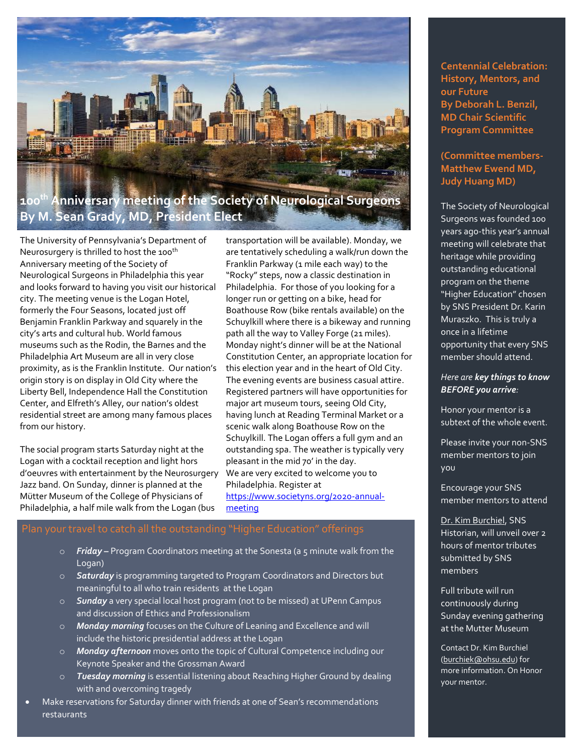

The University of Pennsylvania's Department of Neurosurgery is thrilled to host the 100<sup>th</sup> Anniversary meeting of the Society of Neurological Surgeons in Philadelphia this year and looks forward to having you visit our historical city. The meeting venue is the Logan Hotel, formerly the Four Seasons, located just off Benjamin Franklin Parkway and squarely in the city's arts and cultural hub. World famous museums such as the Rodin, the Barnes and the Philadelphia Art Museum are all in very close proximity, as is the Franklin Institute. Our nation's origin story is on display in Old City where the Liberty Bell, Independence Hall the Constitution Center, and Elfreth's Alley, our nation's oldest residential street are among many famous places from our history.

The social program starts Saturday night at the Logan with a cocktail reception and light hors d'oeuvres with entertainment by the Neurosurgery Jazz band. On Sunday, dinner is planned at the Mütter Museum of the College of Physicians of Philadelphia, a half mile walk from the Logan (bus

transportation will be available). Monday, we are tentatively scheduling a walk/run down the Franklin Parkway (1 mile each way) to the "Rocky" steps, now a classic destination in Philadelphia. For those of you looking for a longer run or getting on a bike, head for Boathouse Row (bike rentals available) on the Schuylkill where there is a bikeway and running path all the way to Valley Forge (21 miles). Monday night's dinner will be at the National Constitution Center, an appropriate location for this election year and in the heart of Old City. The evening events are business casual attire. Registered partners will have opportunities for major art museum tours, seeing Old City, having lunch at Reading Terminal Market or a scenic walk along Boathouse Row on the Schuylkill. The Logan offers a full gym and an outstanding spa. The weather is typically very pleasant in the mid 70' in the day. We are very excited to welcome you to Philadelphia. Register at [https://www.societyns.org/2020-annual](https://www.societyns.org/2020-annual-meeting)[meeting](https://www.societyns.org/2020-annual-meeting)

#### transportation will be available). Plan your travel to catch all the outstanding "Higher Education" offerings

- o *Friday –* Program Coordinators meeting at the Sonesta (a 5 minute walk from the Logan)
- o *Saturday* is programming targeted to Program Coordinators and Directors but meaningful to all who train residents at the Logan
- o *Sunday* a very special local host program (not to be missed) at UPenn Campus and discussion of Ethics and Professionalism
- o *Monday morning* focuses on the Culture of Leaning and Excellence and will include the historic presidential address at the Logan
- o *Monday afternoon* moves onto the topic of Cultural Competence including our Keynote Speaker and the Grossman Award
- o *Tuesday morning* is essential listening about Reaching Higher Ground by dealing with and overcoming tragedy
- Make reservations for Saturday dinner with friends at one of Sean's recommendations restaurants

**Centennial Celebration: History, Mentors, and our Future By Deborah L. Benzil, MD Chair Scientific Program Committee**

### **(Committee members-Matthew Ewend MD, Judy Huang MD)**

The Society of Neurological Surgeons was founded 100 years ago-this year's annual meeting will celebrate that heritage while providing outstanding educational program on the theme "Higher Education" chosen by SNS President Dr. Karin Muraszko. This is truly a once in a lifetime opportunity that every SNS member should attend.

### *Here are key things to know BEFORE you arrive:*

Honor your mentor is a subtext of the whole event.

Please invite your non-SNS member mentors to join you

Encourage your SNS member mentors to attend

[Dr. Kim Burchiel,](https://www.ohsu.edu/brain-institute/meet-dr-kim-burchiel) SNS Historian, will unveil over 2 hours of mentor tributes submitted by SNS members

Full tribute will run continuously during Sunday evening gathering at the Mutter Museum

Contact Dr. Kim Burchiel [\(burchiek@ohsu.edu\)](mailto:burchiek@ohsu.edu) for more information. On Honor your mentor.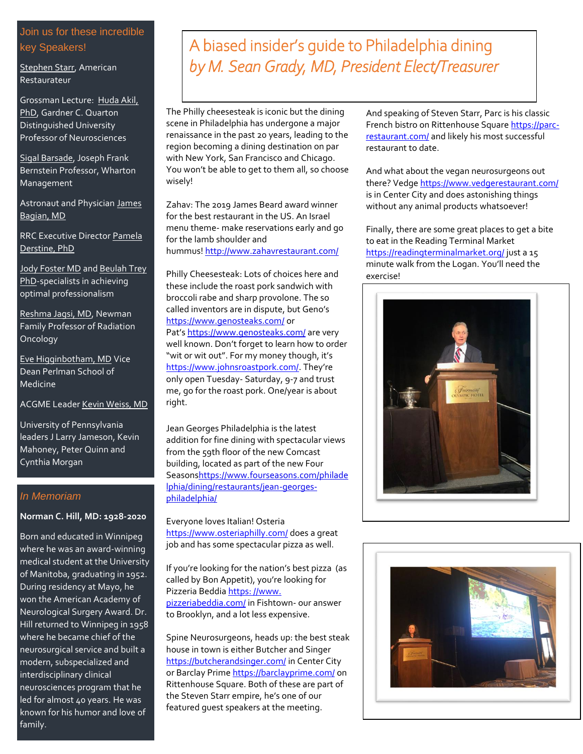## Join us for these incredible key Speakers!

[Stephen Starr,](https://starr-restaurants.com/) American Restaurateur

Grossman Lecture: [Huda Akil,](http://www.mbni.med.umich.edu/mbni/faculty/akil/akil.html)  [PhD,](http://www.mbni.med.umich.edu/mbni/faculty/akil/akil.html) Gardner C. Quarton Distinguished University Professor of Neurosciences

[Sigal Barsade,](https://mgmt.wharton.upenn.edu/profile/barsade/) Joseph Frank Bernstein Professor, Wharton Management

Astronaut and Physician [James](https://ihpi.umich.edu/our-experts/jbagian)  [Bagian, MD](https://ihpi.umich.edu/our-experts/jbagian)

RRC Executive Directo[r Pamela](https://www.linkedin.com/in/pamela-derstine-2847409/)  [Derstine, PhD](https://www.linkedin.com/in/pamela-derstine-2847409/)

[Jody Foster MD](https://www.med.upenn.edu/professionalism/foster.shtml) and [Beulah Trey](https://www.usa.vectorgroupconsulting.com/meet-our-team)  [PhD-](https://www.usa.vectorgroupconsulting.com/meet-our-team)specialists in achieving optimal professionalism

[Reshma Jagsi, MD,](https://medicine.umich.edu/dept/radonc/reshma-jagsi-md-dphil) Newman Family Professor of Radiation Oncology

[Eve Higginbotham, MD](https://www.med.upenn.edu/evpdean/higginbotham.html) Vice Dean Perlman School of Medicine

ACGME Leade[r Kevin Weiss, MD](https://www.acgme.org/About-Us/Board-and-Staff/Executive-Staff/Executive-Staff-Bio/ArticleID/133/Kevin-B-Weiss-MD)

University of Pennsylvania leaders J Larry Jameson, Kevin Mahoney, Peter Quinn and Cynthia Morgan

### *In Memoriam*

#### **Norman C. Hill, MD: 1928-2020**

Born and educated in Winnipeg where he was an award-winning medical student at the University of Manitoba, graduating in 1952. During residency at Mayo, he won the American Academy of Neurological Surgery Award. Dr. Hill returned to Winnipeg in 1958 where he became chief of the neurosurgical service and built a modern, subspecialized and interdisciplinary clinical neurosciences program that he led for almost 40 years. He was known for his humor and love of family.

# A biased insider's guide to Philadelphia dining *by M. Sean Grady, MD, President Elect/Treasurer*

The Philly cheesesteak is iconic but the dining scene in Philadelphia has undergone a major renaissance in the past 20 years, leading to the region becoming a dining destination on par with New York, San Francisco and Chicago. You won't be able to get to them all, so choose wisely!

Zahav: The 2019 James Beard award winner for the best restaurant in the US. An Israel menu theme- make reservations early and go for the lamb shoulder and hummus! <http://www.zahavrestaurant.com/>

Philly Cheesesteak: Lots of choices here and these include the roast pork sandwich with broccoli rabe and sharp provolone. The so called inventors are in dispute, but Geno's <https://www.genosteaks.com/> or Pat's <https://www.genosteaks.com/> are very well known. Don't forget to learn how to order "wit or wit out". For my money though, it's <https://www.johnsroastpork.com/>. They're only open Tuesday- Saturday, 9-7 and trust me, go for the roast pork. One/year is about right.

Jean Georges Philadelphia is the latest addition for fine dining with spectacular views from the 59th floor of the new Comcast building, located as part of the new Four Season[shttps://www.fourseasons.com/philade](https://www.fourseasons.com/philadelphia/dining/restaurants/jean-georges-philadelphia/) [lphia/dining/restaurants/jean-georges](https://www.fourseasons.com/philadelphia/dining/restaurants/jean-georges-philadelphia/)[philadelphia/](https://www.fourseasons.com/philadelphia/dining/restaurants/jean-georges-philadelphia/)

Everyone loves Italian! Osteria <https://www.osteriaphilly.com/> does a great job and has some spectacular pizza as well.

If you're looking for the nation's best pizza (as called by Bon Appetit), you're looking for Pizzeria Beddia https: [//www.](https://www.pizzeriabeddia.com/) [pizzeriabeddia.com/](https://www.pizzeriabeddia.com/) in Fishtown- our answer to Brooklyn, and a lot less expensive.

Spine Neurosurgeons, heads up: the best steak house in town is either Butcher and Singer <https://butcherandsinger.com/> in Center City or Barclay Prim[e https://barclayprime.com/](https://barclayprime.com/) on Rittenhouse Square. Both of these are part of the Steven Starr empire, he's one of our featured guest speakers at the meeting.

And speaking of Steven Starr, Parc is his classic French bistro on Rittenhouse Square [https://parc](https://parc-restaurant.com/)[restaurant.com/](https://parc-restaurant.com/) and likely his most successful restaurant to date.

And what about the vegan neurosurgeons out there? Vedg[e https://www.vedgerestaurant.com/](https://www.vedgerestaurant.com/) is in Center City and does astonishing things without any animal products whatsoever!

Finally, there are some great places to get a bite to eat in the Reading Terminal Market <https://readingterminalmarket.org/> just a 15 minute walk from the Logan. You'll need the exercise!



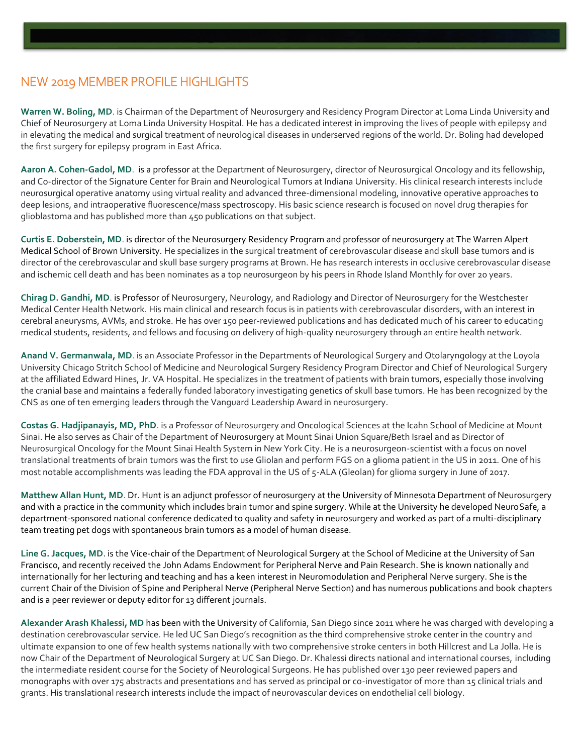# NEW 2019 MEMBER PROFILE HIGHLIGHTS

**Warren W. Boling, MD**. is Chairman of the Department of Neurosurgery and Residency Program Director at Loma Linda University and Chief of Neurosurgery at Loma Linda University Hospital. He has a dedicated interest in improving the lives of people with epilepsy and in elevating the medical and surgical treatment of neurological diseases in underserved regions of the world. Dr. Boling had developed the first surgery for epilepsy program in East Africa.

**Aaron A. Cohen-Gadol, MD**. is a professor at the Department of Neurosurgery, director of Neurosurgical Oncology and its fellowship, and Co-director of the Signature Center for Brain and Neurological Tumors at Indiana University. His clinical research interests include neurosurgical operative anatomy using virtual reality and advanced three-dimensional modeling, innovative operative approaches to deep lesions, and intraoperative fluorescence/mass spectroscopy. His basic science research is focused on novel drug therapies for glioblastoma and has published more than 450 publications on that subject.

**Curtis E. Doberstein, MD**. is director of the Neurosurgery Residency Program and professor of neurosurgery at The Warren Alpert Medical School of Brown University. He specializes in the surgical treatment of cerebrovascular disease and skull base tumors and is director of the cerebrovascular and skull base surgery programs at Brown. He has research interests in occlusive cerebrovascular disease and ischemic cell death and has been nominates as a top neurosurgeon by his peers in Rhode Island Monthly for over 20 years.

**Chirag D. Gandhi, MD**. is Professor of Neurosurgery, Neurology, and Radiology and Director of Neurosurgery for the Westchester Medical Center Health Network. His main clinical and research focus is in patients with cerebrovascular disorders, with an interest in cerebral aneurysms, AVMs, and stroke. He has over 150 peer-reviewed publications and has dedicated much of his career to educating medical students, residents, and fellows and focusing on delivery of high-quality neurosurgery through an entire health network.

**Anand V. Germanwala, MD**. is an Associate Professor in the Departments of Neurological Surgery and Otolaryngology at the Loyola University Chicago Stritch School of Medicine and Neurological Surgery Residency Program Director and Chief of Neurological Surgery at the affiliated Edward Hines, Jr. VA Hospital. He specializes in the treatment of patients with brain tumors, especially those involving the cranial base and maintains a federally funded laboratory investigating genetics of skull base tumors. He has been recognized by the CNS as one of ten emerging leaders through the Vanguard Leadership Award in neurosurgery.

**Costas G. Hadjipanayis, MD, PhD**. is a Professor of Neurosurgery and Oncological Sciences at the Icahn School of Medicine at Mount Sinai. He also serves as Chair of the Department of Neurosurgery at Mount Sinai Union Square/Beth Israel and as Director of Neurosurgical Oncology for the Mount Sinai Health System in New York City. He is a neurosurgeon-scientist with a focus on novel translational treatments of brain tumors was the first to use Gliolan and perform FGS on a glioma patient in the US in 2011. One of his most notable accomplishments was leading the FDA approval in the US of 5-ALA (Gleolan) for glioma surgery in June of 2017.

**Matthew Allan Hunt, MD**. Dr. Hunt is an adjunct professor of neurosurgery at the University of Minnesota Department of Neurosurgery and with a practice in the community which includes brain tumor and spine surgery. While at the University he developed NeuroSafe, a department-sponsored national conference dedicated to quality and safety in neurosurgery and worked as part of a multi-disciplinary team treating pet dogs with spontaneous brain tumors as a model of human disease.

**Line G. Jacques, MD**. is the Vice-chair of the Department of Neurological Surgery at the School of Medicine at the University of San Francisco, and recently received the John Adams Endowment for Peripheral Nerve and Pain Research. She is known nationally and internationally for her lecturing and teaching and has a keen interest in Neuromodulation and Peripheral Nerve surgery. She is the current Chair of the Division of Spine and Peripheral Nerve (Peripheral Nerve Section) and has numerous publications and book chapters and is a peer reviewer or deputy editor for 13 different journals.

**Alexander Arash Khalessi, MD** has been with the University of California, San Diego since 2011 where he was charged with developing a destination cerebrovascular service. He led UC San Diego's recognition as the third comprehensive stroke center in the country and ultimate expansion to one of few health systems nationally with two comprehensive stroke centers in both Hillcrest and La Jolla. He is now Chair of the Department of Neurological Surgery at UC San Diego. Dr. Khalessi directs national and international courses, including the intermediate resident course for the Society of Neurological Surgeons. He has published over 130 peer reviewed papers and monographs with over 175 abstracts and presentations and has served as principal or co-investigator of more than 15 clinical trials and grants. His translational research interests include the impact of neurovascular devices on endothelial cell biology.